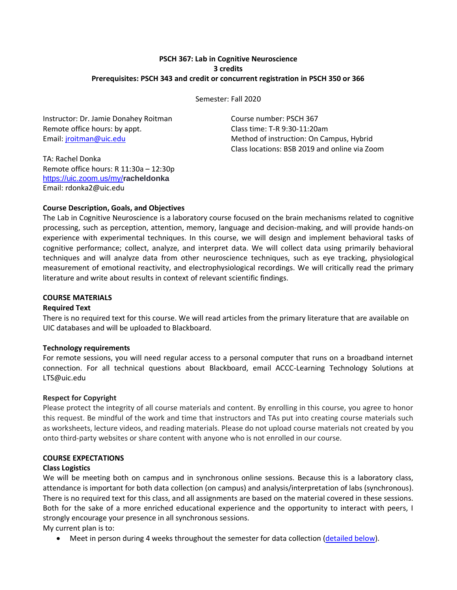# **PSCH 367: Lab in Cognitive Neuroscience 3 credits Prerequisites: PSCH 343 and credit or concurrent registration in PSCH 350 or 366**

Semester: Fall 2020

Instructor: Dr. Jamie Donahey Roitman Course number: PSCH 367 Remote office hours: by appt. Class time: T-R 9:30-11:20am

Email: *jroitman@uic.edu* Method of instruction: On Campus, Hybrid Class locations: BSB 2019 and online via Zoom

TA: Rachel Donka Remote office hours: R 11:30a – 12:30p <https://uic.zoom.us/my/>**racheldonka** Email: rdonka2@uic.edu

# **Course Description, Goals, and Objectives**

The Lab in Cognitive Neuroscience is a laboratory course focused on the brain mechanisms related to cognitive processing, such as perception, attention, memory, language and decision-making, and will provide hands-on experience with experimental techniques. In this course, we will design and implement behavioral tasks of cognitive performance; collect, analyze, and interpret data. We will collect data using primarily behavioral techniques and will analyze data from other neuroscience techniques, such as eye tracking, physiological measurement of emotional reactivity, and electrophysiological recordings. We will critically read the primary literature and write about results in context of relevant scientific findings.

# **COURSE MATERIALS**

# **Required Text**

There is no required text for this course. We will read articles from the primary literature that are available on UIC databases and will be uploaded to Blackboard.

# **Technology requirements**

For remote sessions, you will need regular access to a personal computer that runs on a broadband internet connection. For all technical questions about Blackboard, email ACCC-Learning Technology Solutions at LTS@uic.edu

# **Respect for Copyright**

Please protect the integrity of all course materials and content. By enrolling in this course, you agree to honor this request. Be mindful of the work and time that instructors and TAs put into creating course materials such as worksheets, lecture videos, and reading materials. Please do not upload course materials not created by you onto third-party websites or share content with anyone who is not enrolled in our course.

# **COURSE EXPECTATIONS**

# **Class Logistics**

We will be meeting both on campus and in synchronous online sessions. Because this is a laboratory class, attendance is important for both data collection (on campus) and analysis/interpretation of labs (synchronous). There is no required text for this class, and all assignments are based on the material covered in these sessions. Both for the sake of a more enriched educational experience and the opportunity to interact with peers, I strongly encourage your presence in all synchronous sessions.

My current plan is to:

• Meet in person during 4 weeks throughout the semester for data collection [\(detailed below\)](#page-5-0).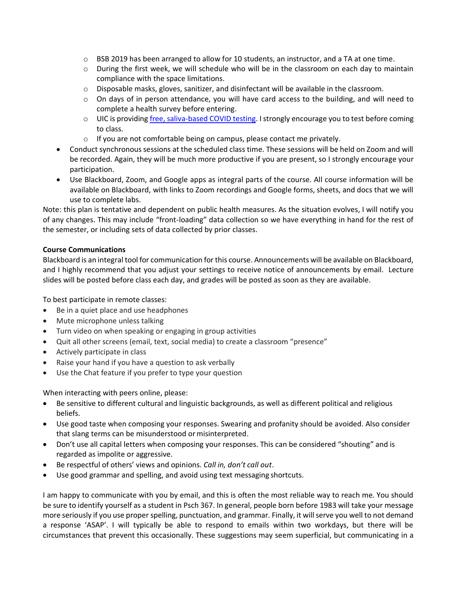- $\circ$  BSB 2019 has been arranged to allow for 10 students, an instructor, and a TA at one time.
- o During the first week, we will schedule who will be in the classroom on each day to maintain compliance with the space limitations.
- o Disposable masks, gloves, sanitizer, and disinfectant will be available in the classroom.
- $\circ$  On days of in person attendance, you will have card access to the building, and will need to complete a health survey before entering.
- o UIC is providing [free, saliva-based COVID testing.](https://today.uic.edu/covid-19-saliva-testing) I strongly encourage you to test before coming to class.
- o If you are not comfortable being on campus, please contact me privately.
- Conduct synchronous sessions at the scheduled class time. These sessions will be held on Zoom and will be recorded. Again, they will be much more productive if you are present, so I strongly encourage your participation.
- Use Blackboard, Zoom, and Google apps as integral parts of the course. All course information will be available on Blackboard, with links to Zoom recordings and Google forms, sheets, and docs that we will use to complete labs.

Note: this plan is tentative and dependent on public health measures. As the situation evolves, I will notify you of any changes. This may include "front-loading" data collection so we have everything in hand for the rest of the semester, or including sets of data collected by prior classes.

# **Course Communications**

Blackboard is an integral tool for communication for this course. Announcements will be available on Blackboard, and I highly recommend that you adjust your settings to receive notice of announcements by email. Lecture slides will be posted before class each day, and grades will be posted as soon as they are available.

To best participate in remote classes:

- Be in a quiet place and use headphones
- Mute microphone unless talking
- Turn video on when speaking or engaging in group activities
- Quit all other screens (email, text, social media) to create a classroom "presence"
- Actively participate in class
- Raise your hand if you have a question to ask verbally
- Use the Chat feature if you prefer to type your question

When interacting with peers online, please:

- Be sensitive to different cultural and linguistic backgrounds, as well as different political and religious beliefs.
- Use good taste when composing your responses. Swearing and profanity should be avoided. Also consider that slang terms can be misunderstood or misinterpreted.
- Don't use all capital letters when composing your responses. This can be considered "shouting" and is regarded as impolite or aggressive.
- Be respectful of others' views and opinions. *Call in, don't call out*.
- Use good grammar and spelling, and avoid using text messaging shortcuts.

I am happy to communicate with you by email, and this is often the most reliable way to reach me. You should be sure to identify yourself as a student in Psch 367. In general, people born before 1983 will take your message more seriously if you use proper spelling, punctuation, and grammar. Finally, it will serve you well to not demand a response 'ASAP'. I will typically be able to respond to emails within two workdays, but there will be circumstances that prevent this occasionally. These suggestions may seem superficial, but communicating in a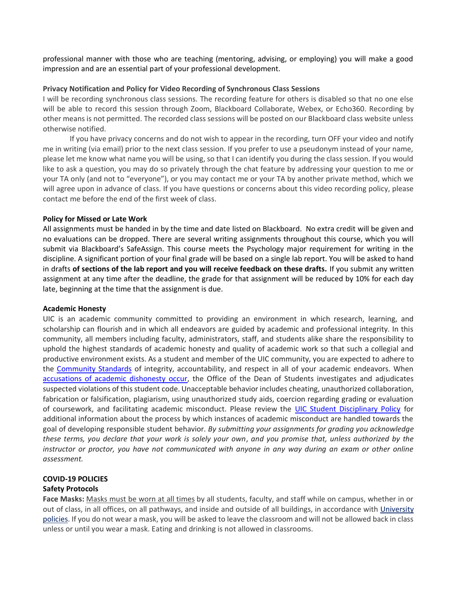professional manner with those who are teaching (mentoring, advising, or employing) you will make a good impression and are an essential part of your professional development.

## **Privacy Notification and Policy for Video Recording of Synchronous Class Sessions**

I will be recording synchronous class sessions. The recording feature for others is disabled so that no one else will be able to record this session through Zoom, Blackboard Collaborate, Webex, or Echo360. Recording by other means is not permitted. The recorded class sessions will be posted on our Blackboard class website unless otherwise notified.

If you have privacy concerns and do not wish to appear in the recording, turn OFF your video and notify me in writing (via email) prior to the next class session. If you prefer to use a pseudonym instead of your name, please let me know what name you will be using, so that I can identify you during the class session. If you would like to ask a question, you may do so privately through the chat feature by addressing your question to me or your TA only (and not to "everyone"), or you may contact me or your TA by another private method, which we will agree upon in advance of class. If you have questions or concerns about this video recording policy, please contact me before the end of the first week of class.

## **Policy for Missed or Late Work**

All assignments must be handed in by the time and date listed on Blackboard. No extra credit will be given and no evaluations can be dropped. There are several writing assignments throughout this course, which you will submit via Blackboard's SafeAssign. This course meets the Psychology major requirement for writing in the discipline. A significant portion of your final grade will be based on a single lab report. You will be asked to hand in drafts **of sections of the lab report and you will receive feedback on these drafts.** If you submit any written assignment at any time after the deadline, the grade for that assignment will be reduced by 10% for each day late, beginning at the time that the assignment is due.

### **Academic Honesty**

UIC is an academic community committed to providing an environment in which research, learning, and scholarship can flourish and in which all endeavors are guided by academic and professional integrity. In this community, all members including faculty, administrators, staff, and students alike share the responsibility to uphold the highest standards of academic honesty and quality of academic work so that such a collegial and productive environment exists. As a student and member of the UIC community, you are expected to adhere to the [Community Standards](https://dos.uic.edu/community-standards/) of integrity, accountability, and respect in all of your academic endeavors. When [accusations of academic dishonesty occur,](https://dos.uic.edu/community-standards/academic-integrity/) the Office of the Dean of Students investigates and adjudicates suspected violations of this student code. Unacceptable behavior includes cheating, unauthorized collaboration, fabrication or falsification, plagiarism, using unauthorized study aids, coercion regarding grading or evaluation of coursework, and facilitating academic misconduct. Please review the [UIC Student Disciplinary Policy](https://dos.uic.edu/wp-content/uploads/sites/262/2018/10/DOS-Student-Disciplinary-Policy-2018-2019-FINAL.pdf) for additional information about the process by which instances of academic misconduct are handled towards the goal of developing responsible student behavior. *By submitting your assignments for grading you acknowledge these terms, you declare that your work is solely your own*, *and you promise that, unless authorized by the instructor or proctor, you have not communicated with anyone in any way during an exam or other online assessment.* 

## **COVID-19 POLICIES Safety Protocols**

**Face Masks:** Masks must be worn at all times by all students, faculty, and staff while on campus, whether in or out of class, in all offices, on all pathways, and inside and outside of all buildings, in accordance with [University](https://today.uic.edu/coronavirus) [policies.](https://today.uic.edu/coronavirus) If you do not wear a mask, you will be asked to leave the classroom and will not be allowed back in class unless or until you wear a mask. Eating and drinking is not allowed in classrooms.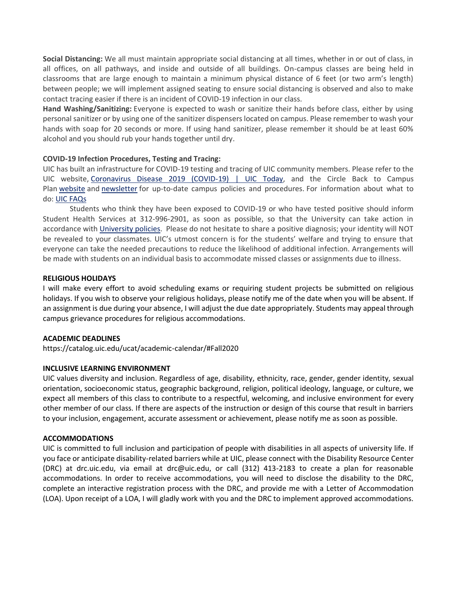**Social Distancing:** We all must maintain appropriate social distancing at all times, whether in or out of class, in all offices, on all pathways, and inside and outside of all buildings. On-campus classes are being held in classrooms that are large enough to maintain a minimum physical distance of 6 feet (or two arm's length) between people; we will implement assigned seating to ensure social distancing is observed and also to make contact tracing easier if there is an incident of COVID-19 infection in our class.

**Hand Washing/Sanitizing:** Everyone is expected to wash or sanitize their hands before class, either by using personal sanitizer or by using one of the sanitizer dispensers located on campus. Please remember to wash your hands with soap for 20 seconds or more. If using hand sanitizer, please remember it should be at least 60% alcohol and you should rub your hands together until dry.

# **COVID-19 Infection Procedures, Testing and Tracing:**

UIC has built an infrastructure for COVID-19 testing and tracing of UIC community members. Please refer to the UIC website, [Coronavirus](https://today.uic.edu/coronavirus) Disease 2019 (COVID-19) | UIC Today, and the Circle Back to Campus Plan [website](https://today.uic.edu/circle-back-to-campus) and [newsletter](https://today.uic.edu/coronavirus-recovery) for up-to-date campus policies and procedures. For information about what to do: UIC [FAQs](https://today.uic.edu/frequently-asked-questions)

Students who think they have been exposed to COVID-19 or who have tested positive should inform Student Health Services at 312-996-2901, as soon as possible, so that the University can take action in accordance with [University](https://today.uic.edu/coronavirus) policies. Please do not hesitate to share a positive diagnosis; your identity will NOT be revealed to your classmates. UIC's utmost concern is for the students' welfare and trying to ensure that everyone can take the needed precautions to reduce the likelihood of additional infection. Arrangements will be made with students on an individual basis to accommodate missed classes or assignments due to illness.

## **RELIGIOUS HOLIDAYS**

I will make every effort to avoid scheduling exams or requiring student projects be submitted on religious holidays. If you wish to observe your religious holidays, please notify me of the date when you will be absent. If an assignment is due during your absence, I will adjust the due date appropriately. Students may appeal through campus grievance procedures for religious accommodations.

### **ACADEMIC DEADLINES**

https://catalog.uic.edu/ucat/academic-calendar/#Fall2020

# **INCLUSIVE LEARNING ENVIRONMENT**

UIC values diversity and inclusion. Regardless of age, disability, ethnicity, race, gender, gender identity, sexual orientation, socioeconomic status, geographic background, religion, political ideology, language, or culture, we expect all members of this class to contribute to a respectful, welcoming, and inclusive environment for every other member of our class. If there are aspects of the instruction or design of this course that result in barriers to your inclusion, engagement, accurate assessment or achievement, please notify me as soon as possible.

### **ACCOMMODATIONS**

UIC is committed to full inclusion and participation of people with disabilities in all aspects of university life. If you face or anticipate disability-related barriers while at UIC, please connect with the Disability Resource Center (DRC) at drc.uic.edu, via email at drc@uic.edu, or call (312) 413-2183 to create a plan for reasonable accommodations. In order to receive accommodations, you will need to disclose the disability to the DRC, complete an interactive registration process with the DRC, and provide me with a Letter of Accommodation (LOA). Upon receipt of a LOA, I will gladly work with you and the DRC to implement approved accommodations.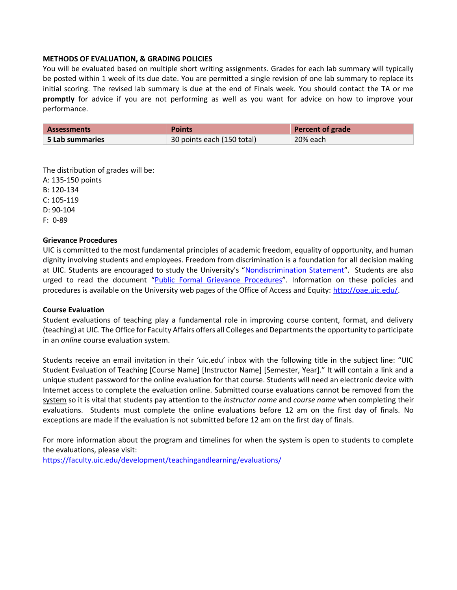## **METHODS OF EVALUATION, & GRADING POLICIES**

You will be evaluated based on multiple short writing assignments. Grades for each lab summary will typically be posted within 1 week of its due date. You are permitted a single revision of one lab summary to replace its initial scoring. The revised lab summary is due at the end of Finals week. You should contact the TA or me **promptly** for advice if you are not performing as well as you want for advice on how to improve your performance.

| <b>Assessments</b>        | <b>Points</b>              | Percent of grade |
|---------------------------|----------------------------|------------------|
| $\,$ 5 Lab summaries $\,$ | 30 points each (150 total) | 20% each         |

The distribution of grades will be: A: 135-150 points B: 120-134 C: 105-119 D: 90-104 F: 0-89

## **Grievance Procedures**

UIC is committed to the most fundamental principles of academic freedom, equality of opportunity, and human dignity involving students and employees. Freedom from discrimination is a foundation for all decision making at UIC. Students are encouraged to study the University's "[Nondiscrimination Statement](http://www.uic.edu/depts/oar/campus_policies/nondiscrimination_statement.html)". Students are also urged to read the document "[Public Formal Grievance Procedures](http://www.uic.edu/depts/oar/campus_policies/public_grievance_procedures.html)". Information on these policies and procedures is available on the University web pages of the Office of Access and Equity: [http://oae.uic.edu/.](http://oae.uic.edu/)

### **Course Evaluation**

Student evaluations of teaching play a fundamental role in improving course content, format, and delivery (teaching) at UIC. The Office for Faculty Affairs offers all Colleges and Departments the opportunity to participate in an *online* course evaluation system.

Students receive an email invitation in their 'uic.edu' inbox with the following title in the subject line: "UIC Student Evaluation of Teaching [Course Name] [Instructor Name] [Semester, Year]." It will contain a link and a unique student password for the online evaluation for that course. Students will need an electronic device with Internet access to complete the evaluation online. Submitted course evaluations cannot be removed from the system so it is vital that students pay attention to the *instructor name* and *course name* when completing their evaluations. Students must complete the online evaluations before 12 am on the first day of finals. No exceptions are made if the evaluation is not submitted before 12 am on the first day of finals.

For more information about the program and timelines for when the system is open to students to complete the evaluations, please visit:

<https://faculty.uic.edu/development/teachingandlearning/evaluations/>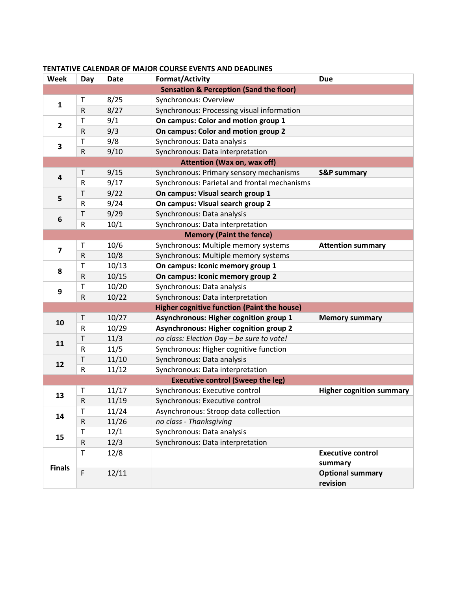| Week                                               | Day                     | <b>Date</b> | <b>Format/Activity</b>                        | <b>Due</b>                          |  |
|----------------------------------------------------|-------------------------|-------------|-----------------------------------------------|-------------------------------------|--|
| <b>Sensation &amp; Perception (Sand the floor)</b> |                         |             |                                               |                                     |  |
| $\mathbf{1}$                                       | T                       | 8/25        | Synchronous: Overview                         |                                     |  |
|                                                    | ${\sf R}$               | 8/27        | Synchronous: Processing visual information    |                                     |  |
| $\overline{2}$                                     | $\mathsf T$             | 9/1         | On campus: Color and motion group 1           |                                     |  |
|                                                    | R                       | 9/3         | On campus: Color and motion group 2           |                                     |  |
| 3                                                  | $\mathsf T$             | 9/8         | Synchronous: Data analysis                    |                                     |  |
|                                                    | $\mathsf R$             | 9/10        | Synchronous: Data interpretation              |                                     |  |
| <b>Attention (Wax on, wax off)</b>                 |                         |             |                                               |                                     |  |
| $\overline{\mathbf{4}}$                            | T                       | 9/15        | Synchronous: Primary sensory mechanisms       | <b>S&amp;P summary</b>              |  |
|                                                    | $\mathsf{R}$            | 9/17        | Synchronous: Parietal and frontal mechanisms  |                                     |  |
| 5                                                  | $\mathsf T$             | 9/22        | On campus: Visual search group 1              |                                     |  |
|                                                    | R                       | 9/24        | On campus: Visual search group 2              |                                     |  |
| 6                                                  | $\mathsf T$             | 9/29        | Synchronous: Data analysis                    |                                     |  |
|                                                    | ${\sf R}$               | 10/1        | Synchronous: Data interpretation              |                                     |  |
| <b>Memory (Paint the fence)</b>                    |                         |             |                                               |                                     |  |
| $\overline{\mathbf{z}}$                            | T                       | 10/6        | Synchronous: Multiple memory systems          | <b>Attention summary</b>            |  |
|                                                    | $\mathsf R$             | 10/8        | Synchronous: Multiple memory systems          |                                     |  |
|                                                    | Τ                       | 10/13       | On campus: Iconic memory group 1              |                                     |  |
| 8                                                  | $\mathsf R$             | 10/15       | On campus: Iconic memory group 2              |                                     |  |
| $\boldsymbol{9}$                                   | $\mathsf T$             | 10/20       | Synchronous: Data analysis                    |                                     |  |
|                                                    | ${\sf R}$               | 10/22       | Synchronous: Data interpretation              |                                     |  |
| <b>Higher cognitive function (Paint the house)</b> |                         |             |                                               |                                     |  |
|                                                    | $\mathsf T$             | 10/27       | Asynchronous: Higher cognition group 1        | <b>Memory summary</b>               |  |
| 10                                                 | $\overline{\mathsf{R}}$ | 10/29       | <b>Asynchronous: Higher cognition group 2</b> |                                     |  |
| 11                                                 | $\mathsf T$             | 11/3        | no class: Election Day - be sure to vote!     |                                     |  |
|                                                    | $\mathsf R$             | 11/5        | Synchronous: Higher cognitive function        |                                     |  |
| 12                                                 | $\mathsf T$             | 11/10       | Synchronous: Data analysis                    |                                     |  |
|                                                    | $\mathsf R$             | 11/12       | Synchronous: Data interpretation              |                                     |  |
| <b>Executive control (Sweep the leg)</b>           |                         |             |                                               |                                     |  |
| 13                                                 | $\mathsf T$             | 11/17       | Synchronous: Executive control                | <b>Higher cognition summary</b>     |  |
|                                                    | ${\sf R}$               | 11/19       | Synchronous: Executive control                |                                     |  |
| 14                                                 | T                       | 11/24       | Asynchronous: Stroop data collection          |                                     |  |
|                                                    | $\mathsf R$             | 11/26       | no class - Thanksgiving                       |                                     |  |
| 15                                                 | $\mathsf T$             | 12/1        | Synchronous: Data analysis                    |                                     |  |
|                                                    | ${\sf R}$               | 12/3        | Synchronous: Data interpretation              |                                     |  |
| <b>Finals</b>                                      | $\mathsf T$             | 12/8        |                                               | <b>Executive control</b><br>summary |  |
|                                                    | $\mathsf F$             | 12/11       |                                               | <b>Optional summary</b><br>revision |  |

## <span id="page-5-0"></span>**TENTATIVE CALENDAR OF MAJOR COURSE EVENTS AND DEADLINES**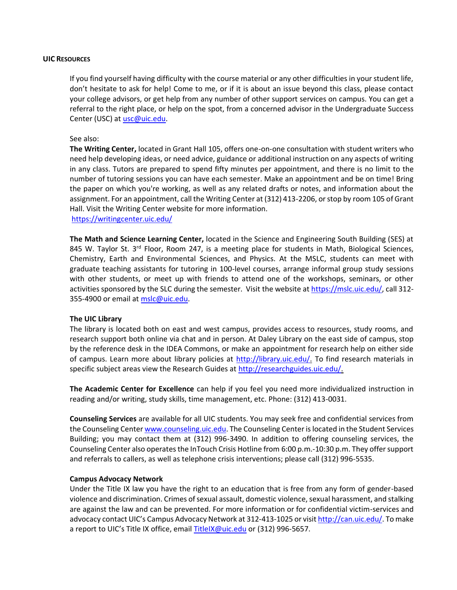#### **UIC RESOURCES**

If you find yourself having difficulty with the course material or any other difficulties in your student life, don't hesitate to ask for help! Come to me, or if it is about an issue beyond this class, please contact your college advisors, or get help from any number of other support services on campus. You can get a referral to the right place, or help on the spot, from a concerned advisor in the Undergraduate Success Center (USC) at [usc@uic.edu.](mailto:usc@uic.edu)

#### See also:

**The Writing Center,** located in Grant Hall 105, offers one-on-one consultation with student writers who need help developing ideas, or need advice, guidance or additional instruction on any aspects of writing in any class. Tutors are prepared to spend fifty minutes per appointment, and there is no limit to the number of tutoring sessions you can have each semester. Make an appointment and be on time! Bring the paper on which you're working, as well as any related drafts or notes, and information about the assignment. For an appointment, call the Writing Center at (312) 413-2206, or stop by room 105 of Grant Hall. Visit the Writing Center website for more information.

## <https://writingcenter.uic.edu/>

**The Math and Science Learning Center,** located in the Science and Engineering South Building (SES) at 845 W. Taylor St. 3<sup>rd</sup> Floor, Room 247, is a meeting place for students in Math, Biological Sciences, Chemistry, Earth and Environmental Sciences, and Physics. At the MSLC, students can meet with graduate teaching assistants for tutoring in 100-level courses, arrange informal group study sessions with other students, or meet up with friends to attend one of the workshops, seminars, or other activities sponsored by the SLC during the semester. Visit the website at [https://mslc.uic.edu/,](https://mslc.uic.edu/) call 312 355-4900 or email at [mslc@uic.edu.](mailto:mslc@uic.edu)

### **The UIC Library**

The library is located both on east and west campus, provides access to resources, study rooms, and research support both online via chat and in person. At Daley Library on the east side of campus, stop by the reference desk in the IDEA Commons, or make an appointment for research help on either side of campus. Learn more about library policies at [http://library.uic.edu/.](http://library.uic.edu/) To find research materials in specific subject areas view the Research Guides at [http://researchguides.uic.edu/.](http://researchguides.uic.edu/)

**The Academic Center for Excellence** can help if you feel you need more individualized instruction in reading and/or writing, study skills, time management, etc. Phone: (312) 413-0031.

**Counseling Services** are available for all UIC students. You may seek free and confidential services from the Counseling Cente[r www.counseling.uic.edu.](http://www.counseling.uic.edu/) The Counseling Center is located in the Student Services Building; you may contact them at (312) 996-3490. In addition to offering counseling services, the Counseling Center also operates the InTouch Crisis Hotline from 6:00 p.m.-10:30 p.m. They offer support and referrals to callers, as well as telephone crisis interventions; please call (312) 996-5535.

### **Campus Advocacy Network**

Under the Title IX law you have the right to an education that is free from any form of gender-based violence and discrimination. Crimes of sexual assault, domestic violence, sexual harassment, and stalking are against the law and can be prevented. For more information or for confidential victim-services and advocacy contact UIC's Campus Advocacy Network at 312-413-1025 or visi[t http://can.uic.edu/.](http://can.uic.edu/) To make a report to UIC's Title IX office, email [TitleIX@uic.edu](mailto:TitleIX@uic.edu) or (312) 996-5657.